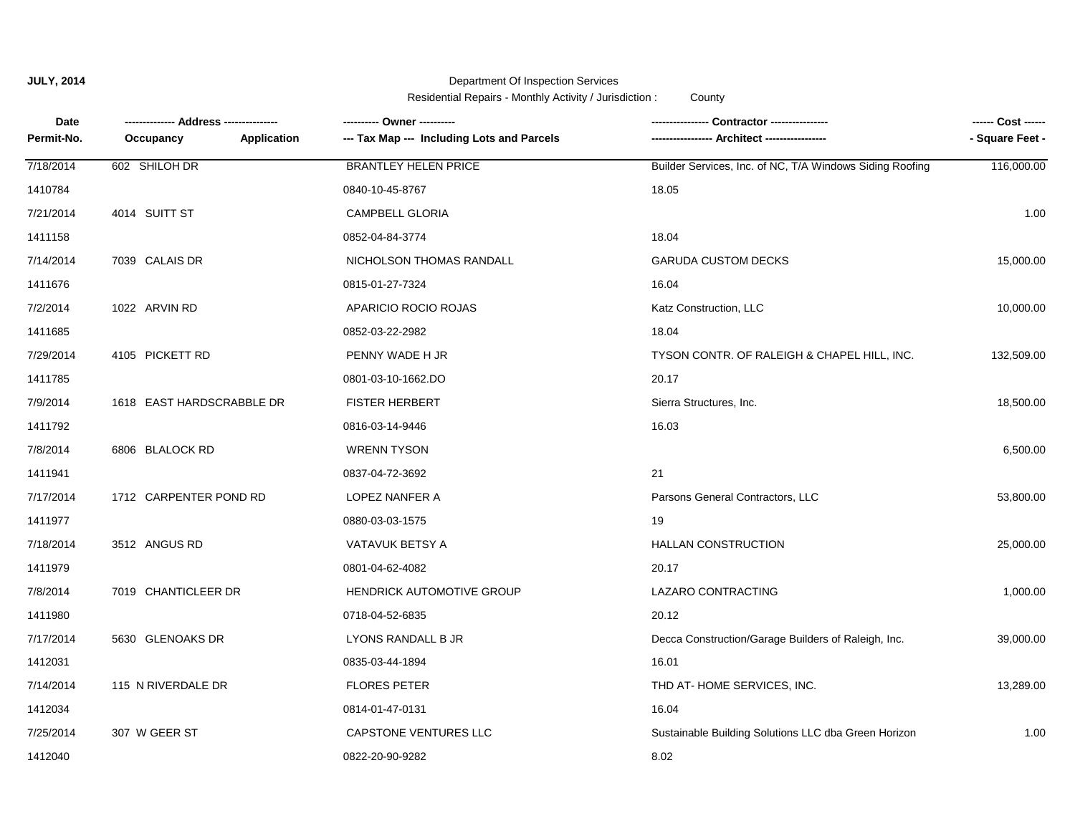## **JULY, 2014** Department Of Inspection Services Residential Repairs - Monthly Activity / Jurisdiction : County

**Date Occupancy ------ Cost ------** Permit-No. Occupancy **Application --- Tax Map --- Including Lots and Parcels <b>-------------------** Architect -------------------1410784 0840-10-45-8767 18.05 **-------------- Address --------------- ---------- Owner ---------- ---------------- Contractor ----------------** 7/21/2014 4014 SUITT ST CAMPBELL GLORIA 1.00 7/18/2014 602 SHILOH DR BRANTLEY HELEN PRICE Builder Services, Inc. of NC, T/A Windows Siding Roofing 116,000.00 0852-04-84-3774 18.04 16.04 7/14/2014 7039 CALAIS DR NICHOLSON THOMAS RANDALL GARUDA CUSTOM DECKS 15,000.00 1411158 7/2/2014 1022 ARVIN RD APARICIO ROCIO ROJAS Katz Construction, LLC 10,000.00 1411676 0815-01-27-7324 1411685 0852-03-22-2982 18.04 0801-03-10-1662.DO 20.17 7/29/2014 4105 PICKETT RD PENNY WADE H JR TYSON CONTR. OF RALEIGH & CHAPEL HILL, INC. 132,509.00 16.03 7/9/2014 1618 EAST HARDSCRABBLE DR FISTER HERBERT Sierra Structures, Inc. 18,500.00 1411785 7/8/2014 6806 BLALOCK RD WRENN TYSON 6,500.00 1411792 0816-03-14-9446 1411941 0837-04-72-3692 21 0880-03-03-1575 19 7/17/2014 1712 CARPENTER POND RD LOPEZ NANFER A Parsons General Contractors, LLC 53,800.00 20.17 7/18/2014 3512 ANGUS RD VATAVUK BETSY A HALLAN CONSTRUCTION 25,000.00 1411977 7/8/2014 7019 CHANTICLEER DR HENDRICK AUTOMOTIVE GROUP LAZARO CONTRACTING 1,000.00 1411979 0801-04-62-4082 1411980 0718-04-52-6835 20.12 0835-03-44-1894 16.01 7/17/2014 5630 GLENOAKS DR LYONS RANDALL B JR Decca Construction/Garage Builders of Raleigh, Inc. 39,000.00 16.04 7/14/2014 115 N RIVERDALE DR FLORES PETER THD AT- HOME SERVICES, INC. 13,289.00 1412031 7/25/2014 307 W GEER ST CAPSTONE VENTURES LLC Sustainable Building Solutions LLC dba Green Horizon 1.00 1412034 0814-01-47-0131

1412040 0822-20-90-9282 8.02